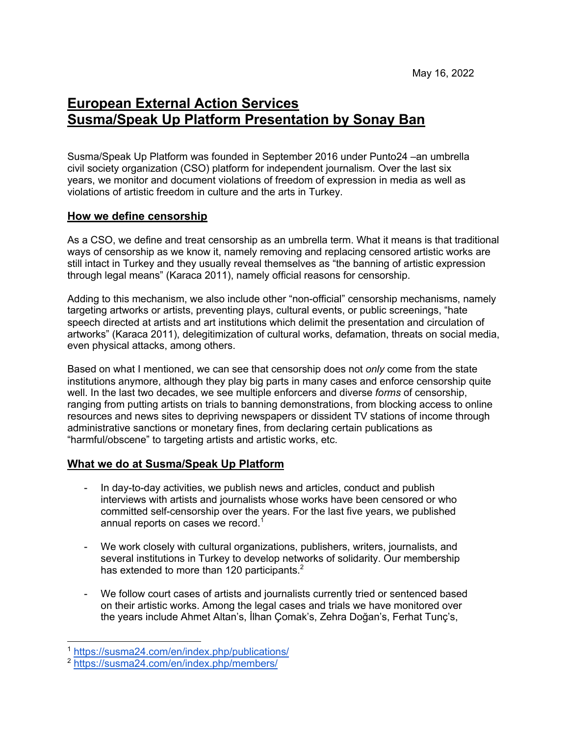# **European External Action Services Susma/Speak Up Platform Presentation by Sonay Ban**

Susma/Speak Up Platform was founded in September 2016 under Punto24 –an umbrella civil society organization (CSO) platform for independent journalism. Over the last six years, we monitor and document violations of freedom of expression in media as well as violations of artistic freedom in culture and the arts in Turkey.

## **How we define censorship**

As a CSO, we define and treat censorship as an umbrella term. What it means is that traditional ways of censorship as we know it, namely removing and replacing censored artistic works are still intact in Turkey and they usually reveal themselves as "the banning of artistic expression through legal means" (Karaca 2011), namely official reasons for censorship.

Adding to this mechanism, we also include other "non-official" censorship mechanisms, namely targeting artworks or artists, preventing plays, cultural events, or public screenings, "hate speech directed at artists and art institutions which delimit the presentation and circulation of artworks" (Karaca 2011), delegitimization of cultural works, defamation, threats on social media, even physical attacks, among others.

Based on what I mentioned, we can see that censorship does not *only* come from the state institutions anymore, although they play big parts in many cases and enforce censorship quite well. In the last two decades, we see multiple enforcers and diverse *forms* of censorship, ranging from putting artists on trials to banning demonstrations, from blocking access to online resources and news sites to depriving newspapers or dissident TV stations of income through administrative sanctions or monetary fines, from declaring certain publications as "harmful/obscene" to targeting artists and artistic works, etc.

## **What we do at Susma/Speak Up Platform**

- In day-to-day activities, we publish news and articles, conduct and publish interviews with artists and journalists whose works have been censored or who committed self-censorship over the years. For the last five years, we published annual reports on cases we record.<sup>1</sup>
- We work closely with cultural organizations, publishers, writers, journalists, and several institutions in Turkey to develop networks of solidarity. Our membership has extended to more than 120 participants. $2^2$
- We follow court cases of artists and journalists currently tried or sentenced based on their artistic works. Among the legal cases and trials we have monitored over the years include Ahmet Altan's, İlhan Çomak's, Zehra Doğan's, Ferhat Tunç's,

<sup>1</sup> https://susma24.com/en/index.php/publications/

<sup>2</sup> https://susma24.com/en/index.php/members/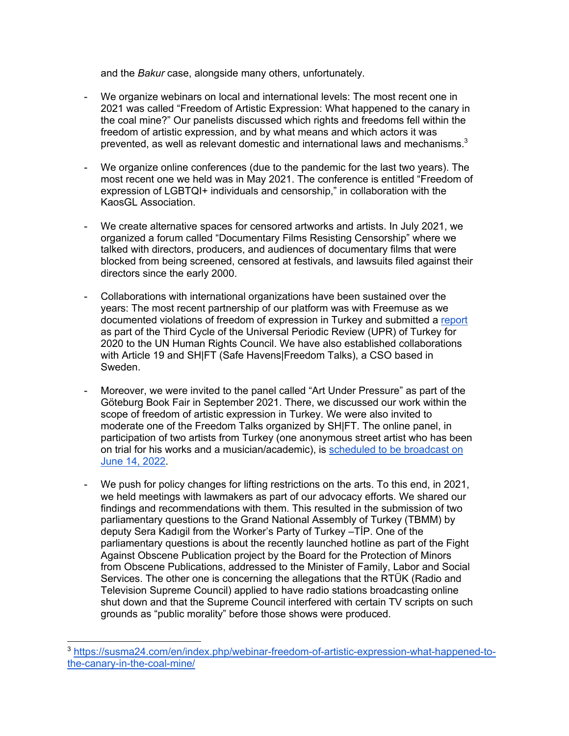and the *Bakur* case, alongside many others, unfortunately.

- We organize webinars on local and international levels: The most recent one in 2021 was called "Freedom of Artistic Expression: What happened to the canary in the coal mine?" Our panelists discussed which rights and freedoms fell within the freedom of artistic expression, and by what means and which actors it was prevented, as well as relevant domestic and international laws and mechanisms. $3$
- We organize online conferences (due to the pandemic for the last two years). The most recent one we held was in May 2021. The conference is entitled "Freedom of expression of LGBTQI+ individuals and censorship," in collaboration with the KaosGL Association.
- We create alternative spaces for censored artworks and artists. In July 2021, we organized a forum called "Documentary Films Resisting Censorship" where we talked with directors, producers, and audiences of documentary films that were blocked from being screened, censored at festivals, and lawsuits filed against their directors since the early 2000.
- Collaborations with international organizations have been sustained over the years: The most recent partnership of our platform was with Freemuse as we documented violations of freedom of expression in Turkey and submitted a report as part of the Third Cycle of the Universal Periodic Review (UPR) of Turkey for 2020 to the UN Human Rights Council. We have also established collaborations with Article 19 and SHIFT (Safe Havens|Freedom Talks), a CSO based in Sweden.
- Moreover, we were invited to the panel called "Art Under Pressure" as part of the Göteburg Book Fair in September 2021. There, we discussed our work within the scope of freedom of artistic expression in Turkey. We were also invited to moderate one of the Freedom Talks organized by SH|FT. The online panel, in participation of two artists from Turkey (one anonymous street artist who has been on trial for his works and a musician/academic), is scheduled to be broadcast on June 14, 2022.
- We push for policy changes for lifting restrictions on the arts. To this end, in 2021, we held meetings with lawmakers as part of our advocacy efforts. We shared our findings and recommendations with them. This resulted in the submission of two parliamentary questions to the Grand National Assembly of Turkey (TBMM) by deputy Sera Kadıgil from the Worker's Party of Turkey –TİP. One of the parliamentary questions is about the recently launched hotline as part of the Fight Against Obscene Publication project by the Board for the Protection of Minors from Obscene Publications, addressed to the Minister of Family, Labor and Social Services. The other one is concerning the allegations that the RTÜK (Radio and Television Supreme Council) applied to have radio stations broadcasting online shut down and that the Supreme Council interfered with certain TV scripts on such grounds as "public morality" before those shows were produced.

<sup>3</sup> https://susma24.com/en/index.php/webinar-freedom-of-artistic-expression-what-happened-tothe-canary-in-the-coal-mine/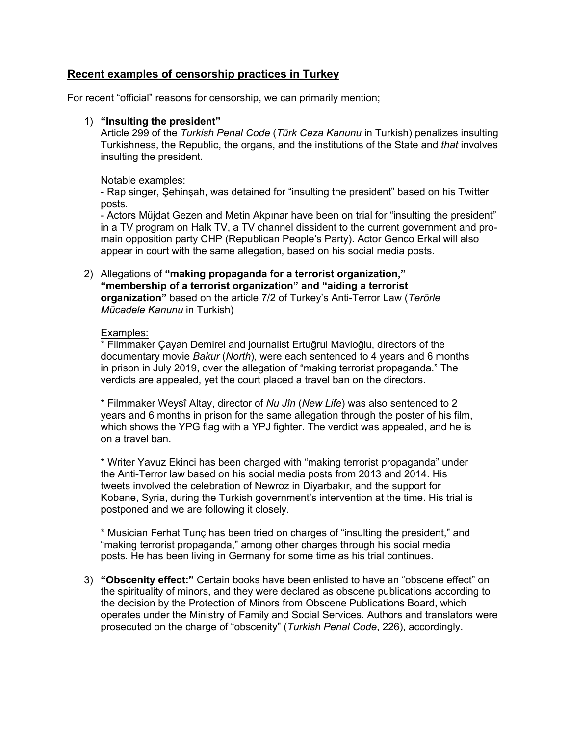## **Recent examples of censorship practices in Turkey**

For recent "official" reasons for censorship, we can primarily mention;

#### 1) **"Insulting the president"**

Article 299 of the *Turkish Penal Code* (*Türk Ceza Kanunu* in Turkish) penalizes insulting Turkishness, the Republic, the organs, and the institutions of the State and *that* involves insulting the president.

#### Notable examples:

- Rap singer, Şehinşah, was detained for "insulting the president" based on his Twitter posts.

- Actors Müjdat Gezen and Metin Akpınar have been on trial for "insulting the president" in a TV program on Halk TV, a TV channel dissident to the current government and promain opposition party CHP (Republican People's Party). Actor Genco Erkal will also appear in court with the same allegation, based on his social media posts.

2) Allegations of **"making propaganda for a terrorist organization," "membership of a terrorist organization" and "aiding a terrorist organization"** based on the article 7/2 of Turkey's Anti-Terror Law (*Terörle Mücadele Kanunu* in Turkish)

#### Examples:

\* Filmmaker Çayan Demirel and journalist Ertuğrul Mavioğlu, directors of the documentary movie *Bakur* (*North*), were each sentenced to 4 years and 6 months in prison in July 2019, over the allegation of "making terrorist propaganda." The verdicts are appealed, yet the court placed a travel ban on the directors.

\* Filmmaker Weysî Altay, director of *Nu Jîn* (*New Life*) was also sentenced to 2 years and 6 months in prison for the same allegation through the poster of his film, which shows the YPG flag with a YPJ fighter. The verdict was appealed, and he is on a travel ban.

\* Writer Yavuz Ekinci has been charged with "making terrorist propaganda" under the Anti-Terror law based on his social media posts from 2013 and 2014. His tweets involved the celebration of Newroz in Diyarbakır, and the support for Kobane, Syria, during the Turkish government's intervention at the time. His trial is postponed and we are following it closely.

\* Musician Ferhat Tunç has been tried on charges of "insulting the president," and "making terrorist propaganda," among other charges through his social media posts. He has been living in Germany for some time as his trial continues.

3) **"Obscenity effect:"** Certain books have been enlisted to have an "obscene effect" on the spirituality of minors, and they were declared as obscene publications according to the decision by the Protection of Minors from Obscene Publications Board, which operates under the Ministry of Family and Social Services. Authors and translators were prosecuted on the charge of "obscenity" (*Turkish Penal Code*, 226), accordingly.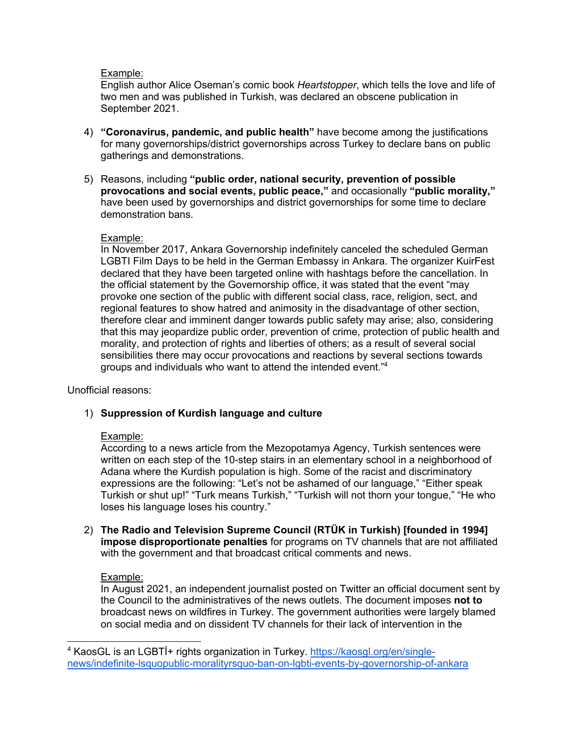### Example:

English author Alice Oseman's comic book *Heartstopper*, which tells the love and life of two men and was published in Turkish, was declared an obscene publication in September 2021.

- 4) **"Coronavirus, pandemic, and public health"** have become among the justifications for many governorships/district governorships across Turkey to declare bans on public gatherings and demonstrations.
- 5) Reasons, including **"public order, national security, prevention of possible provocations and social events, public peace,"** and occasionally **"public morality,"** have been used by governorships and district governorships for some time to declare demonstration bans.

#### Example:

In November 2017, Ankara Governorship indefinitely canceled the scheduled German LGBTI Film Days to be held in the German Embassy in Ankara. The organizer KuirFest declared that they have been targeted online with hashtags before the cancellation. In the official statement by the Governorship office, it was stated that the event "may provoke one section of the public with different social class, race, religion, sect, and regional features to show hatred and animosity in the disadvantage of other section, therefore clear and imminent danger towards public safety may arise; also, considering that this may jeopardize public order, prevention of crime, protection of public health and morality, and protection of rights and liberties of others; as a result of several social sensibilities there may occur provocations and reactions by several sections towards groups and individuals who want to attend the intended event."4

Unofficial reasons:

#### 1) **Suppression of Kurdish language and culture**

#### Example:

According to a news article from the Mezopotamya Agency, Turkish sentences were written on each step of the 10-step stairs in an elementary school in a neighborhood of Adana where the Kurdish population is high. Some of the racist and discriminatory expressions are the following: "Let's not be ashamed of our language," "Either speak Turkish or shut up!" "Turk means Turkish," "Turkish will not thorn your tongue," "He who loses his language loses his country."

2) **The Radio and Television Supreme Council (RTÜK in Turkish) [founded in 1994] impose disproportionate penalties** for programs on TV channels that are not affiliated with the government and that broadcast critical comments and news.

#### Example:

In August 2021, an independent journalist posted on Twitter an official document sent by the Council to the administratives of the news outlets. The document imposes **not to**  broadcast news on wildfires in Turkey. The government authorities were largely blamed on social media and on dissident TV channels for their lack of intervention in the

<sup>4</sup> KaosGL is an LGBTİ+ rights organization in Turkey. https://kaosgl.org/en/singlenews/indefinite-lsquopublic-moralityrsquo-ban-on-lgbti-events-by-governorship-of-ankara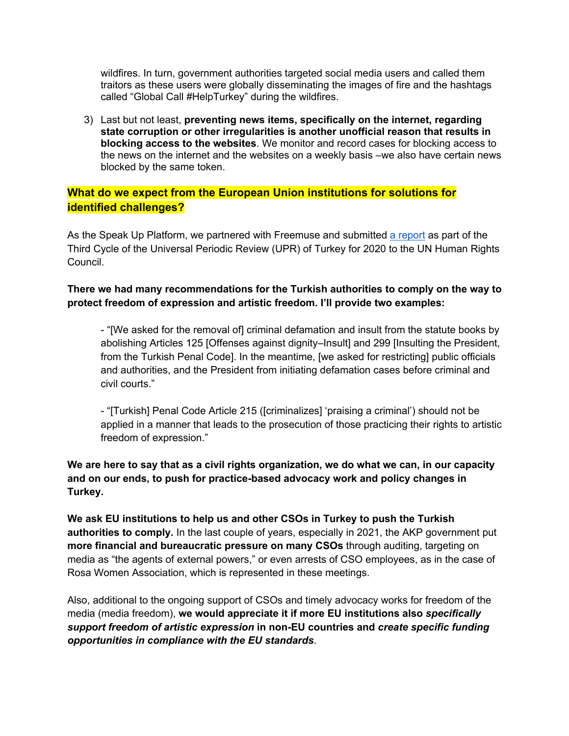wildfires. In turn, government authorities targeted social media users and called them traitors as these users were globally disseminating the images of fire and the hashtags called "Global Call #HelpTurkey" during the wildfires.

3) Last but not least, **preventing news items, specifically on the internet, regarding state corruption or other irregularities is another unofficial reason that results in blocking access to the websites**. We monitor and record cases for blocking access to the news on the internet and the websites on a weekly basis –we also have certain news blocked by the same token.

# **What do we expect from the European Union institutions for solutions for identified challenges?**

As the Speak Up Platform, we partnered with Freemuse and submitted a report as part of the Third Cycle of the Universal Periodic Review (UPR) of Turkey for 2020 to the UN Human Rights Council.

## **There we had many recommendations for the Turkish authorities to comply on the way to protect freedom of expression and artistic freedom. I'll provide two examples:**

- "[We asked for the removal of] criminal defamation and insult from the statute books by abolishing Articles 125 [Offenses against dignity–Insult] and 299 [Insulting the President, from the Turkish Penal Code]. In the meantime, [we asked for restricting] public officials and authorities, and the President from initiating defamation cases before criminal and civil courts."

- "[Turkish] Penal Code Article 215 ([criminalizes] 'praising a criminal') should not be applied in a manner that leads to the prosecution of those practicing their rights to artistic freedom of expression."

# **We are here to say that as a civil rights organization, we do what we can, in our capacity and on our ends, to push for practice-based advocacy work and policy changes in Turkey.**

**We ask EU institutions to help us and other CSOs in Turkey to push the Turkish authorities to comply.** In the last couple of years, especially in 2021, the AKP government put **more financial and bureaucratic pressure on many CSOs** through auditing, targeting on media as "the agents of external powers," or even arrests of CSO employees, as in the case of Rosa Women Association, which is represented in these meetings.

Also, additional to the ongoing support of CSOs and timely advocacy works for freedom of the media (media freedom), **we would appreciate it if more EU institutions also** *specifically support freedom of artistic expression* **in non-EU countries and** *create specific funding opportunities in compliance with the EU standards*.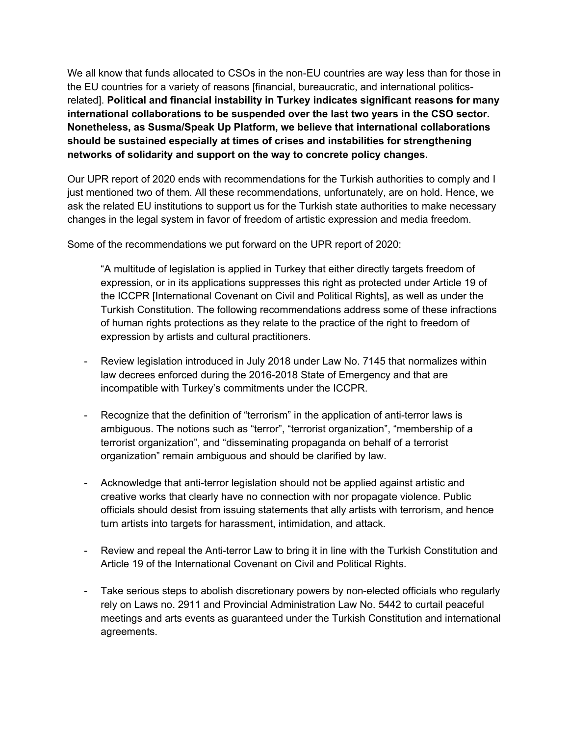We all know that funds allocated to CSOs in the non-EU countries are way less than for those in the EU countries for a variety of reasons [financial, bureaucratic, and international politicsrelated]. **Political and financial instability in Turkey indicates significant reasons for many international collaborations to be suspended over the last two years in the CSO sector. Nonetheless, as Susma/Speak Up Platform, we believe that international collaborations should be sustained especially at times of crises and instabilities for strengthening networks of solidarity and support on the way to concrete policy changes.**

Our UPR report of 2020 ends with recommendations for the Turkish authorities to comply and I just mentioned two of them. All these recommendations, unfortunately, are on hold. Hence, we ask the related EU institutions to support us for the Turkish state authorities to make necessary changes in the legal system in favor of freedom of artistic expression and media freedom.

Some of the recommendations we put forward on the UPR report of 2020:

"A multitude of legislation is applied in Turkey that either directly targets freedom of expression, or in its applications suppresses this right as protected under Article 19 of the ICCPR [International Covenant on Civil and Political Rights], as well as under the Turkish Constitution. The following recommendations address some of these infractions of human rights protections as they relate to the practice of the right to freedom of expression by artists and cultural practitioners.

- Review legislation introduced in July 2018 under Law No. 7145 that normalizes within law decrees enforced during the 2016-2018 State of Emergency and that are incompatible with Turkey's commitments under the ICCPR.
- Recognize that the definition of "terrorism" in the application of anti-terror laws is ambiguous. The notions such as "terror", "terrorist organization", "membership of a terrorist organization", and "disseminating propaganda on behalf of a terrorist organization" remain ambiguous and should be clarified by law.
- Acknowledge that anti-terror legislation should not be applied against artistic and creative works that clearly have no connection with nor propagate violence. Public officials should desist from issuing statements that ally artists with terrorism, and hence turn artists into targets for harassment, intimidation, and attack.
- Review and repeal the Anti-terror Law to bring it in line with the Turkish Constitution and Article 19 of the International Covenant on Civil and Political Rights.
- Take serious steps to abolish discretionary powers by non-elected officials who regularly rely on Laws no. 2911 and Provincial Administration Law No. 5442 to curtail peaceful meetings and arts events as guaranteed under the Turkish Constitution and international agreements.